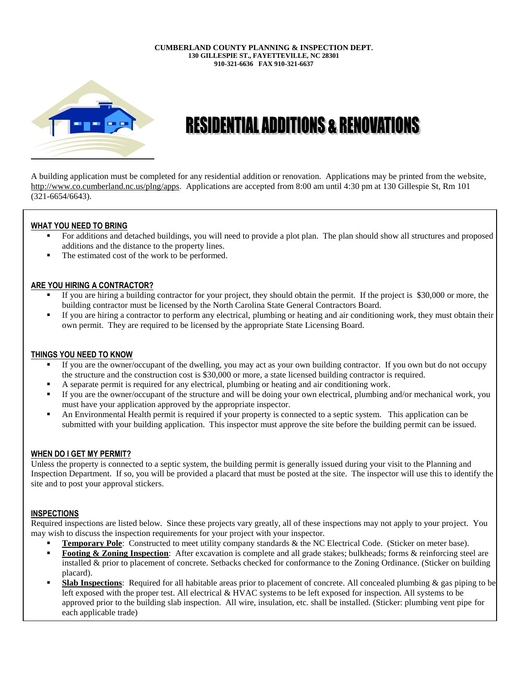#### **CUMBERLAND COUNTY PLANNING & INSPECTION DEPT. 130 GILLESPIE ST., FAYETTEVILLE, NC 28301 910-321-6636 FAX 910-321-6637**



# **RESIDENTIAL ADDITIONS & RENOVATIONS**

A building application must be completed for any residential addition or renovation. Applications may be printed from the website, [http://www.co.cumberland.nc.us/plng/apps.](http://www.co.cumberland.nc.us/plng/apps) Applications are accepted from 8:00 am until 4:30 pm at 130 Gillespie St, Rm 101 (321-6654/6643).

## **WHAT YOU NEED TO BRING**

- For additions and detached buildings, you will need to provide a plot plan. The plan should show all structures and proposed additions and the distance to the property lines.
- The estimated cost of the work to be performed.

## **ARE YOU HIRING A CONTRACTOR?**

- If you are hiring a building contractor for your project, they should obtain the permit. If the project is \$30,000 or more, the building contractor must be licensed by the North Carolina State General Contractors Board.
- If you are hiring a contractor to perform any electrical, plumbing or heating and air conditioning work, they must obtain their own permit. They are required to be licensed by the appropriate State Licensing Board.

## **THINGS YOU NEED TO KNOW**

- If you are the owner/occupant of the dwelling, you may act as your own building contractor. If you own but do not occupy the structure and the construction cost is \$30,000 or more, a state licensed building contractor is required.
- A separate permit is required for any electrical, plumbing or heating and air conditioning work.
- If you are the owner/occupant of the structure and will be doing your own electrical, plumbing and/or mechanical work, you must have your application approved by the appropriate inspector.
- An Environmental Health permit is required if your property is connected to a septic system. This application can be submitted with your building application. This inspector must approve the site before the building permit can be issued.

### **WHEN DO I GET MY PERMIT?**

Unless the property is connected to a septic system, the building permit is generally issued during your visit to the Planning and Inspection Department. If so, you will be provided a placard that must be posted at the site. The inspector will use this to identify the site and to post your approval stickers.

## **INSPECTIONS**

Required inspections are listed below. Since these projects vary greatly, all of these inspections may not apply to your project. You may wish to discuss the inspection requirements for your project with your inspector.

- **Temporary Pole**: Constructed to meet utility company standards & the NC Electrical Code. (Sticker on meter base).
- **Footing & Zoning Inspection**: After excavation is complete and all grade stakes; bulkheads; forms & reinforcing steel are installed & prior to placement of concrete. Setbacks checked for conformance to the Zoning Ordinance. (Sticker on building placard).
- **Slab Inspections**: Required for all habitable areas prior to placement of concrete. All concealed plumbing & gas piping to be left exposed with the proper test. All electrical & HVAC systems to be left exposed for inspection. All systems to be approved prior to the building slab inspection. All wire, insulation, etc. shall be installed. (Sticker: plumbing vent pipe for each applicable trade)